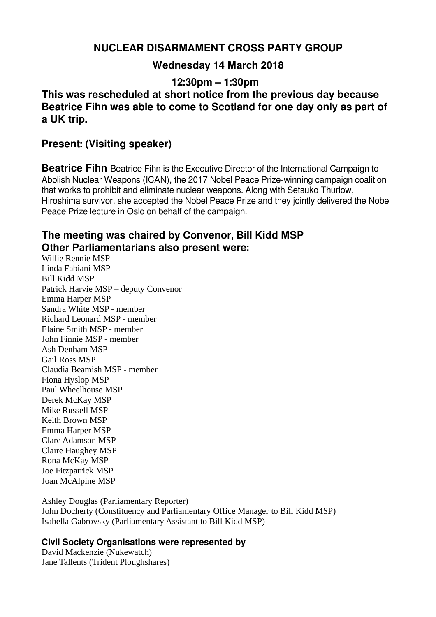# **NUCLEAR DISARMAMENT CROSS PARTY GROUP**

# **Wednesday 14 March 2018**

**12:30pm – 1:30pm**

**This was rescheduled at short notice from the previous day because Beatrice Fihn was able to come to Scotland for one day only as part of a UK trip.**

### **Present: (Visiting speaker)**

**Beatrice Fihn** Beatrice Fihn is the Executive Director of the International Campaign to Abolish Nuclear Weapons (ICAN), the 2017 Nobel Peace Prize-winning campaign coalition that works to prohibit and eliminate nuclear weapons. Along with Setsuko Thurlow, Hiroshima survivor, she accepted the Nobel Peace Prize and they jointly delivered the Nobel Peace Prize lecture in Oslo on behalf of the campaign.

## **The meeting was chaired by Convenor, Bill Kidd MSP Other Parliamentarians also present were:**

Willie Rennie MSP Linda Fabiani MSP Bill Kidd MSP Patrick Harvie MSP – deputy Convenor Emma Harper MSP Sandra White MSP - member Richard Leonard MSP - member Elaine Smith MSP - member John Finnie MSP - member Ash Denham MSP Gail Ross MSP Claudia Beamish MSP - member Fiona Hyslop MSP Paul Wheelhouse MSP Derek McKay MSP Mike Russell MSP Keith Brown MSP Emma Harper MSP Clare Adamson MSP Claire Haughey MSP Rona McKay MSP Joe Fitzpatrick MSP Joan McAlpine MSP

Ashley Douglas (Parliamentary Reporter) John Docherty (Constituency and Parliamentary Office Manager to Bill Kidd MSP) Isabella Gabrovsky (Parliamentary Assistant to Bill Kidd MSP)

### **Civil Society Organisations were represented by**

David Mackenzie (Nukewatch) Jane Tallents (Trident Ploughshares)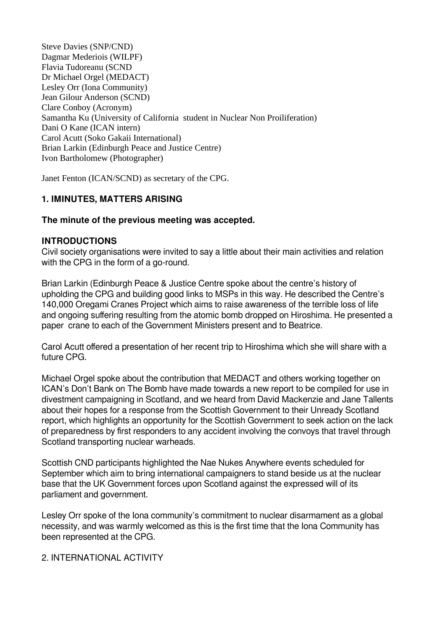Steve Davies (SNP/CND) Dagmar Mederiois (WILPF) Flavia Tudoreanu (SCND Dr Michael Orgel (MEDACT) Lesley Orr (Iona Community) Jean Gilour Anderson (SCND) Clare Conboy (Acronym) Samantha Ku (University of California student in Nuclear Non Proiliferation) Dani O Kane (ICAN intern) Carol Acutt (Soko Gakaii International) Brian Larkin (Edinburgh Peace and Justice Centre) Ivon Bartholomew (Photographer)

Janet Fenton (ICAN/SCND) as secretary of the CPG.

### **1. IMINUTES, MATTERS ARISING**

### **The minute of the previous meeting was accepted.**

#### **INTRODUCTIONS**

Civil society organisations were invited to say a little about their main activities and relation with the CPG in the form of a go-round.

Brian Larkin (Edinburgh Peace & Justice Centre spoke about the centre's history of upholding the CPG and building good links to MSPs in this way. He described the Centre's 140,000 Oregami Cranes Project which aims to raise awareness of the terrible loss of life and ongoing suffering resulting from the atomic bomb dropped on Hiroshima. He presented a paper crane to each of the Government Ministers present and to Beatrice.

Carol Acutt offered a presentation of her recent trip to Hiroshima which she will share with a future CPG.

Michael Orgel spoke about the contribution that MEDACT and others working together on ICAN's Don't Bank on The Bomb have made towards a new report to be compiled for use in divestment campaigning in Scotland, and we heard from David Mackenzie and Jane Tallents about their hopes for a response from the Scottish Government to their Unready Scotland report, which highlights an opportunity for the Scottish Government to seek action on the lack of preparedness by first responders to any accident involving the convoys that travel through Scotland transporting nuclear warheads.

Scottish CND participants highlighted the Nae Nukes Anywhere events scheduled for September which aim to bring international campaigners to stand beside us at the nuclear base that the UK Government forces upon Scotland against the expressed will of its parliament and government.

Lesley Orr spoke of the Iona community's commitment to nuclear disarmament as a global necessity, and was warmly welcomed as this is the first time that the Iona Community has been represented at the CPG.

### 2. INTERNATIONAL ACTIVITY